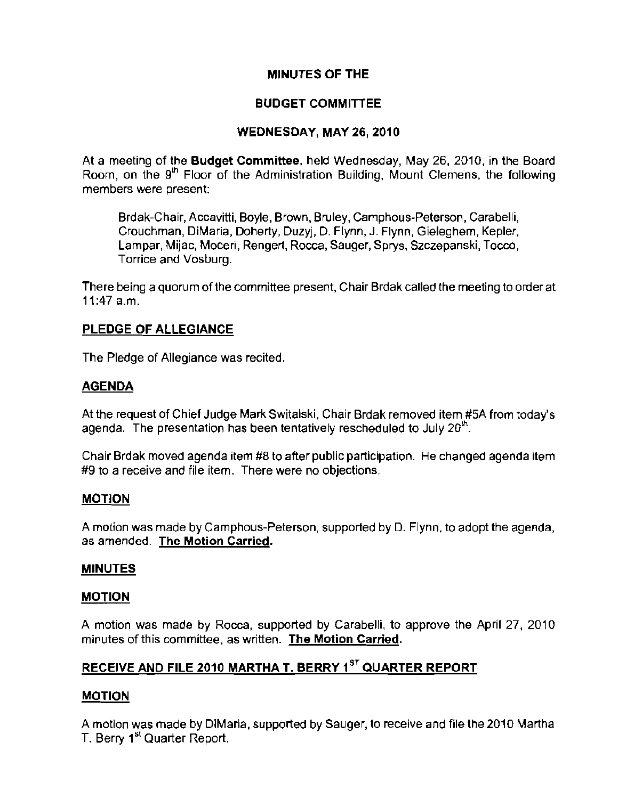# **MINUTES OF THE**

# **BUDGET COMMITIEE**

# **WEDNESDAY, MAY** 26, **2010**

At a meeting of the **Budget** Committee, held Wednesday, May 26,2010, in the Board Room, on the  $9<sup>th</sup>$  Floor of the Administration Building, Mount Clemens, the following **members were present:** 

Brdak-Chair, Accavitti, Boyle, Brown, Bruley, Camphous-Peterson, Carabelli, Crouchman, DiMaria, Doherty, Duzyj, D. Flynn, J. Flynn, Gieleghem, Kepler, Lampar, Mijac, Moceri, Rengert, Rocca, Sauger, Sprys, Szczepanski, Tocco, **Tarriee and Vosburg.** 

There being a quorum of the committee present, Chair Brdak called the meeting to order at 11:47 a.m.

# **PLEDGE OF ALLEGIANCE**

The Pledge of Allegiance was recited.

## **AGENDA**

At the request of Chief Judge Mark Switalski, Chair Brdak removed item #5A from today's agenda. The presentation has been tentatively rescheduled to July  $20<sup>th</sup>$ .

Chair Brdak moved agenda item #8 to after public participation. He changed agenda item **#9 to a receive and file item. There were no objections.** 

## **MOTION**

A motion was made by Camphous-Peterson, supported by D. Flynn. to adopt the agenda, **as amended. The Motion Carried.** 

## **MINUTES**

## **MOTION**

A motion was made by Rocca, supported by Carabelli, to approve the April 27, 2010 **minutes of this committee, as written. The Motion Carried.** 

# **RECEIVE AND FILE 2010 MARTHA T. BERRY 1ST QUARTER REPORT**

## **MOTION**

A motion was made by DiMaria, supported by Sauger, to receive and file the 2010 Martha T. Berry 1<sup>st</sup> Quarter Report.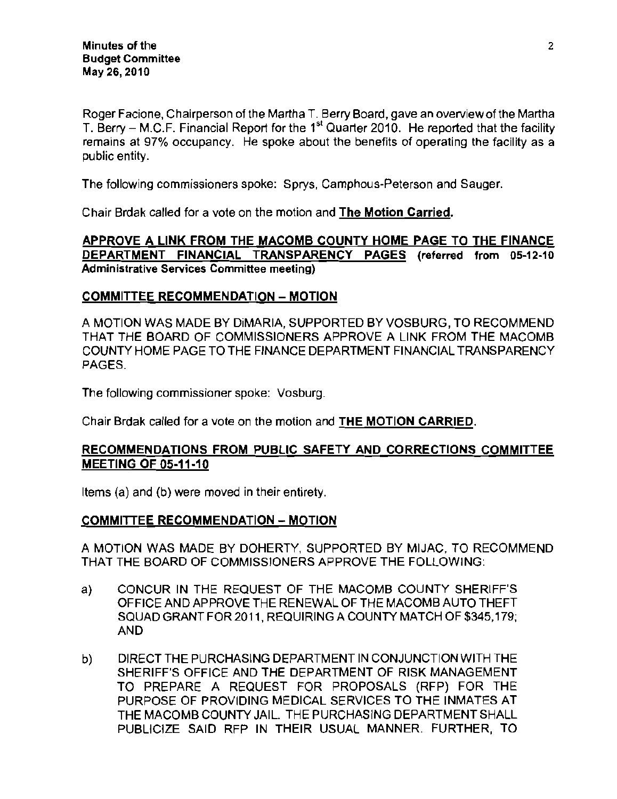Roger Facione, Chairperson of the Martha T. Berry Board, gave an overview of the Martha T. Berry – M.C.F. Financial Report for the 1<sup>st</sup> Quarter 2010. He reported that the facility remains at 97% occupancy. He spoke about the benefits of operating the facility as a public entity.

The following commissioners spoke: Sprys, Camphous-Peterson and Sauger.

Chair Brdak called for a vote on the motion and The Motion Carried.

#### APPROVE A LINK FROM THE MACOMB COUNTY HOME PAGE TO THE FINANCE DEPARTMENT FINANCIAL TRANSPARENCY PAGES (referred from 05·12·10 **Administrative Services Committee meeting)**

#### COMMITTEE RECOMMENDATION - MOTION

A MOTION WAS MADE BY DiMARIA, SUPPORTED BY VOSBURG, TO RECOMMEND THAT THE BOARD OF COMMISSIONERS APPROVE A LINK FROM THE MACOMB COUNTY HOME PAGE TO THE FINANCE DEPARTMENT FINANCIAL TRANSPARENCY PAGES.

The following commissioner spoke: Vosburg.

Chair Brdak called for a vote on the motion and THE MOTION CARRIED.

## RECOMMENDATIONS FROM PUBLIC SAFETY AND CORRECTIONS COMMITTEE MEETING OF 05·11·10

Items (a) and (b) were moved in their entirety.

#### COMMITTEE RECOMMENDATION - MOTION

A MOTION WAS MADE BY DOHERTY, SUPPORTED BY MIJAC. TO RECOMMEND THAT THE BOARD OF COMMISSIONERS APPROVE THE FOLLOWING:

- a) CONCUR IN THE REQUEST OF THE MACOMB COUNTY SHERIFF'S OFFICE AND APPROVE THE RENEWAL OF THE MACOMB AUTO THEFT SQUAD GRANT FOR 2011, REQUIRING A COUNTY MATCH OF \$345,179; AND
- b) DIRECT THE PURCHASING DEPARTMENT IN CONJUNCTION WITH THE SHERIFF'S OFFICE AND THE DEPARTMENT OF RISK MANAGEMENT TO PREPARE A REQUEST FOR PROPOSALS (RFP) FOR THE PURPOSE OF PROVIDING MEDICAL SERVICES TO THE INMATES AT THE MACOMB COUNTY JAIL. THE PURCHASING DEPARTMENT SHALL PUBLICIZE SAID RFP IN THEIR USUAL MANNER. FURTHER, TO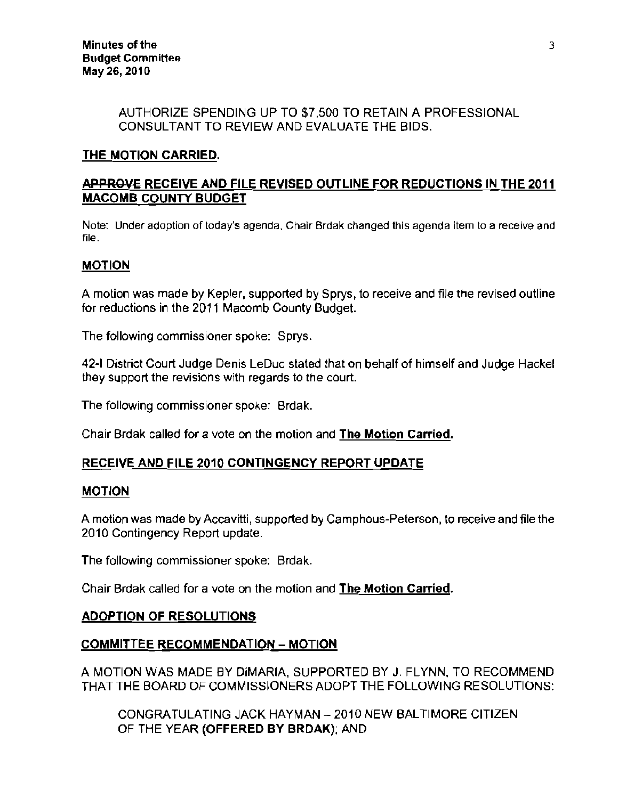#### AUTHORIZE SPENDING UP TO \$7,500 TO RETAIN A PROFESSIONAL CONSULTANT TO REVIEW AND EVALUATE THE BIDS.

# THE MOTION CARRIED.

# APPROVE RECEIVE AND FILE REVISED OUTLINE FOR REDUCTIONS IN THE 2011 MACOMB COUNTY BUDGET

Note: Under adoption of today's agenda, Chair Brdak changed this agenda item to a receive and file.

## MOTION

A motion was made by Kepler, supported by Sprys, to receive and file the revised outline for reductions in the 2011 Macomb County Budget.

The following commissioner spoke: Sprys.

42-1 District Court Judge Denis LeDuc stated that on behalf of himself and Judge Hackel they support the revisions with regards to the court.

The following commissioner spoke: Brdak.

Chair Brdak called for a vote on the motion and The Motion Carried.

## RECEIVE AND FILE 2010 CONTINGENCY REPORT UPDATE

#### MOTION

A motion was made by Accavitti, supported by Camphous-Peterson, to receive and file the *2010* Contingency Report update.

The following commissioner spoke: Brdak.

Chair Brdak called for a vote on the motion and The Motion Carried.

#### ADOPTION OF RESOLUTIONS

#### COMMITTEE RECOMMENDATION - MOTION

A MOTION WAS MADE BY DiMARIA, SUPPORTED BY J. FLYNN, TO RECOMMEND THAT THE BOARD OF COMMISSIONERS ADOPT THE FOLLOWING RESOLUTIONS:

CONGRATULATING JACK HAYMAN - *2010* NEW BALTIMORE CITIZEN OF THE YEAR (OFFERED BY BRDAK); AND